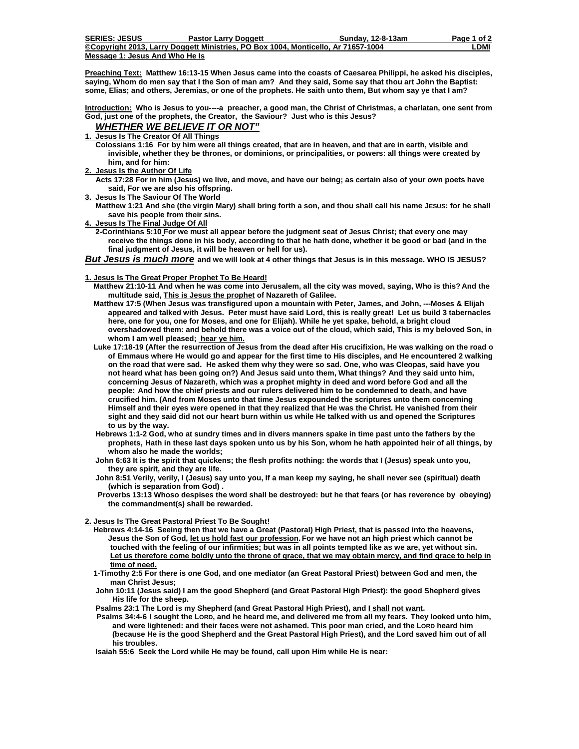| <b>SERIES: JESUS</b>           | <b>Pastor Larry Doggett</b>                                                       | Sundav. 12-8-13am | Page 1 of 2 |
|--------------------------------|-----------------------------------------------------------------------------------|-------------------|-------------|
|                                | ©Copyright 2013. Larry Doggett Ministries. PO Box 1004. Monticello. Ar 71657-1004 |                   | LDMI        |
| Message 1: Jesus And Who He Is |                                                                                   |                   |             |

**Preaching Text: Matthew 16:13-15 When Jesus came into the coasts of Caesarea Philippi, he asked his disciples, saying, Whom do men say that I the Son of man am? And they said, Some say that thou art John the Baptist: some, Elias; and others, Jeremias, or one of the prophets. He saith unto them, But whom say ye that I am?** 

**Introduction: Who is Jesus to you----a preacher, a good man, the Christ of Christmas, a charlatan, one sent from God, just one of the prophets, the Creator, the Saviour? Just who is this Jesus?** 

### *WHETHER WE BELIEVE IT OR NOT"*

**1. Jesus Is The Creator Of All Things**

 **Colossians 1:16 For by him were all things created, that are in heaven, and that are in earth, visible and invisible, whether they be thrones, or dominions, or principalities, or powers: all things were created by him, and for him:** 

**2. Jesus Is the Author Of Life**

 **Acts 17:28 For in him (Jesus) we live, and move, and have our being; as certain also of your own poets have said, For we are also his offspring.** 

**3. Jesus Is The Saviour Of The World**

 **Matthew 1:21 And she (the virgin Mary) shall bring forth a son, and thou shall call his name JESUS: for he shall save his people from their sins.** 

**4. Jesus Is The Final Judge Of All**

 **2-Corinthians 5:10 For we must all appear before the judgment seat of Jesus Christ; that every one may receive the things done in his body, according to that he hath done, whether it be good or bad (and in the final judgment of Jesus, it will be heaven or hell for us).** 

*But Jesus is much more* **and we will look at 4 other things that Jesus is in this message. WHO IS JESUS?** 

## **1. Jesus Is The Great Proper Prophet To Be Heard!**

- **Matthew 21:10-11 And when he was come into Jerusalem, all the city was moved, saying, Who is this? And the multitude said, This is Jesus the prophet of Nazareth of Galilee.**
- **Matthew 17:5 (When Jesus was transfigured upon a mountain with Peter, James, and John, ---Moses & Elijah appeared and talked with Jesus. Peter must have said Lord, this is really great! Let us build 3 tabernacles here, one for you, one for Moses, and one for Elijah). While he yet spake, behold, a bright cloud overshadowed them: and behold there was a voice out of the cloud, which said, This is my beloved Son, in whom I am well pleased; hear ye him.**
- **Luke 17:18-19 (After the resurrection of Jesus from the dead after His crucifixion, He was walking on the road o of Emmaus where He would go and appear for the first time to His disciples, and He encountered 2 walking on the road that were sad. He asked them why they were so sad. One, who was Cleopas, said have you not heard what has been going on?) And Jesus said unto them, What things? And they said unto him, concerning Jesus of Nazareth, which was a prophet mighty in deed and word before God and all the people: And how the chief priests and our rulers delivered him to be condemned to death, and have crucified him. (And from Moses unto that time Jesus expounded the scriptures unto them concerning Himself and their eyes were opened in that they realized that He was the Christ. He vanished from their sight and they said did not our heart burn within us while He talked with us and opened the Scriptures to us by the way.**
- **Hebrews 1:1-2 God, who at sundry times and in divers manners spake in time past unto the fathers by the prophets, Hath in these last days spoken unto us by his Son, whom he hath appointed heir of all things, by whom also he made the worlds;**
- **John 6:63 It is the spirit that quickens; the flesh profits nothing: the words that I (Jesus) speak unto you, they are spirit, and they are life.**
- **John 8:51 Verily, verily, I (Jesus) say unto you, If a man keep my saying, he shall never see (spiritual) death (which is separation from God) .**
- **Proverbs 13:13 Whoso despises the word shall be destroyed: but he that fears (or has reverence by obeying) the commandment(s) shall be rewarded.**

# **2. Jesus Is The Great Pastoral Priest To Be Sought!**

- **Hebrews 4:14-16 Seeing then that we have a Great (Pastoral) High Priest, that is passed into the heavens, Jesus the Son of God, let us hold fast our profession. For we have not an high priest which cannot be touched with the feeling of our infirmities; but was in all points tempted like as we are, yet without sin. Let us therefore come boldly unto the throne of grace, that we may obtain mercy, and find grace to help in time of need.**
- **1-Timothy 2:5 For there is one God, and one mediator (an Great Pastoral Priest) between God and men, the man Christ Jesus;**
- **John 10:11 (Jesus said) I am the good Shepherd (and Great Pastoral High Priest): the good Shepherd gives His life for the sheep.**

Psalms 23:1 The Lord is my Shepherd (and Great Pastoral High Priest), and *Lshall not want*.

 **Psalms 34:4-6 I sought the LORD, and he heard me, and delivered me from all my fears. They looked unto him, and were lightened: and their faces were not ashamed. This poor man cried, and the LORD heard him (because He is the good Shepherd and the Great Pastoral High Priest), and the Lord saved him out of all his troubles.** 

 **Isaiah 55:6 Seek the Lord while He may be found, call upon Him while He is near:**